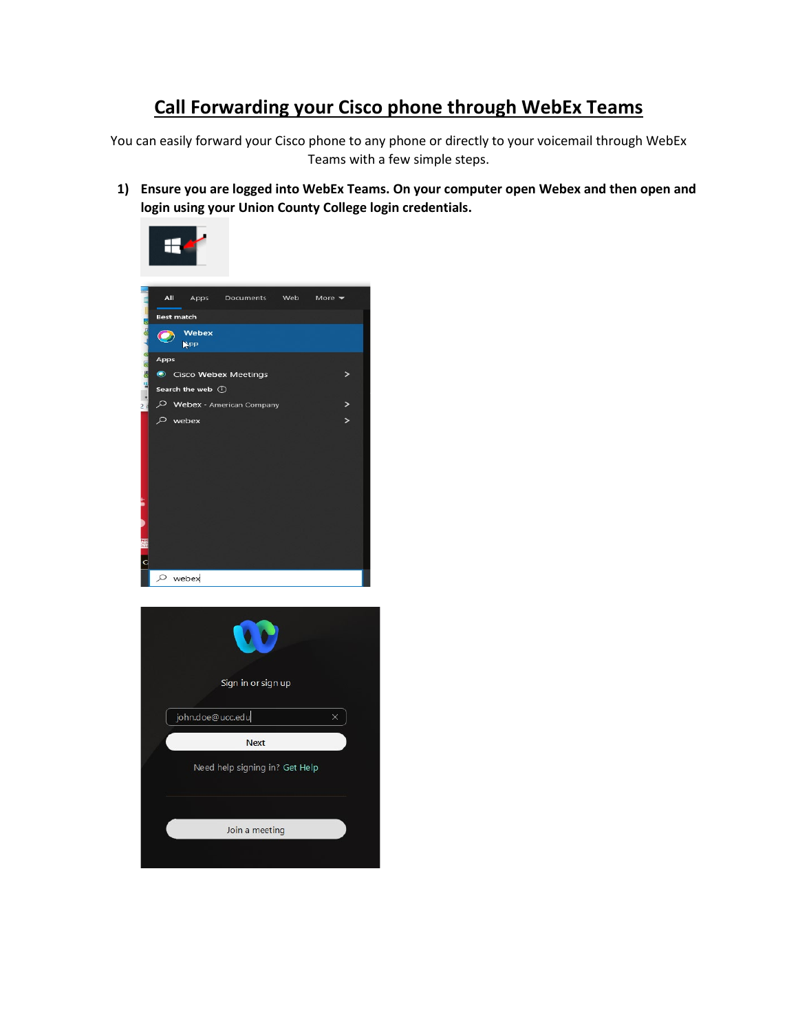## **Call Forwarding your Cisco phone through WebEx Teams**

You can easily forward your Cisco phone to any phone or directly to your voicemail through WebEx Teams with a few simple steps.

**1) Ensure you are logged into WebEx Teams. On your computer open Webex and then open and login using your Union County College login credentials.**

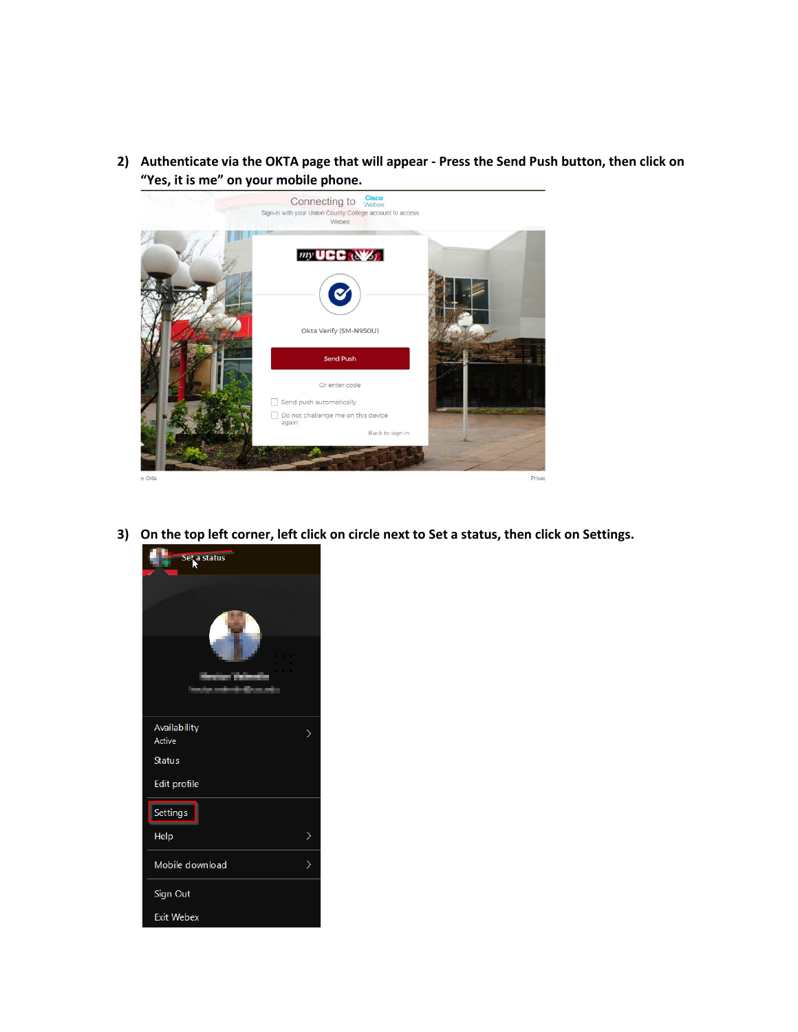**2) Authenticate via the OKTA page that will appear - Press the Send Push button, then click on "Yes, it is me" on your mobile phone.**



**3) On the top left corner, left click on circle next to Set a status, then click on Settings.**

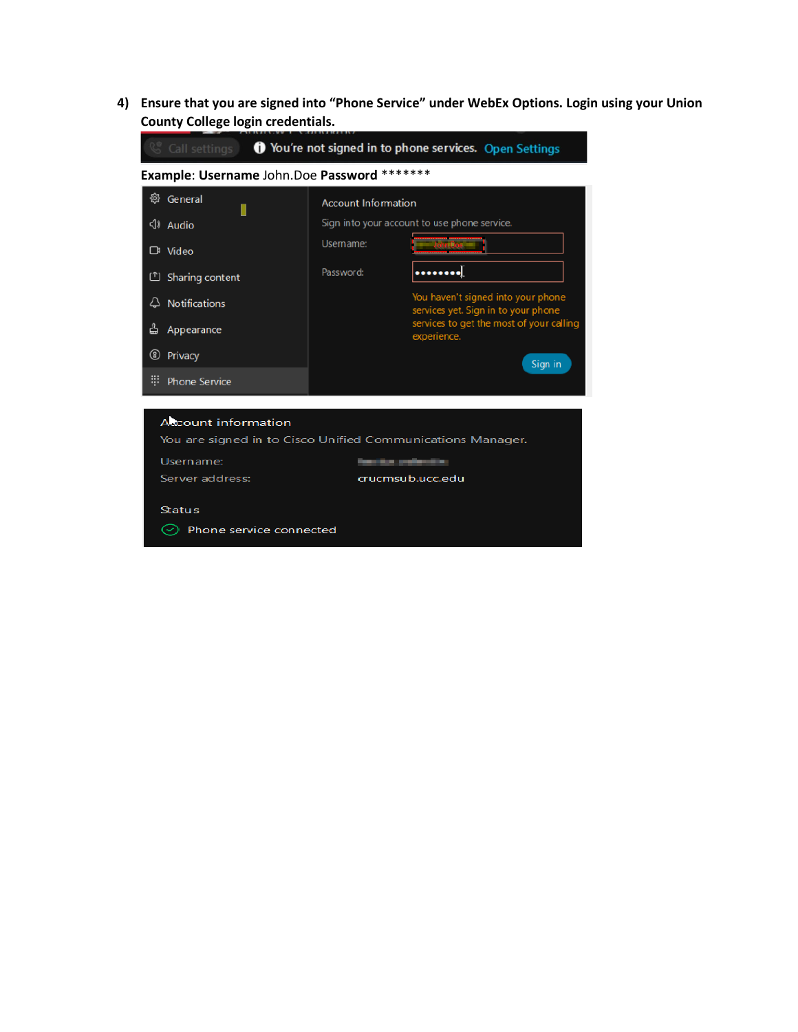**4) Ensure that you are signed into "Phone Service" under WebEx Options. Login using your Union County College login credentials.**